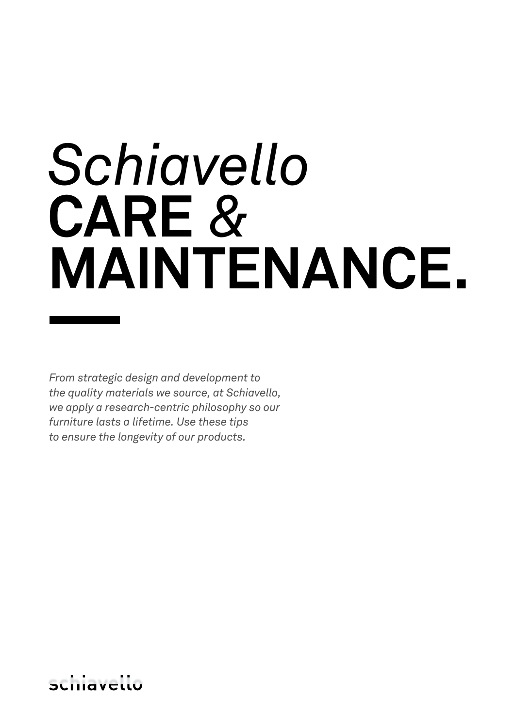# *Schiavello* **CARE** *&*  **MAINTENANCE.**

*From strategic design and development to the quality materials we source, at Schiavello, we apply a research-centric philosophy so our furniture lasts a lifetime. Use these tips to ensure the longevity of our products.*

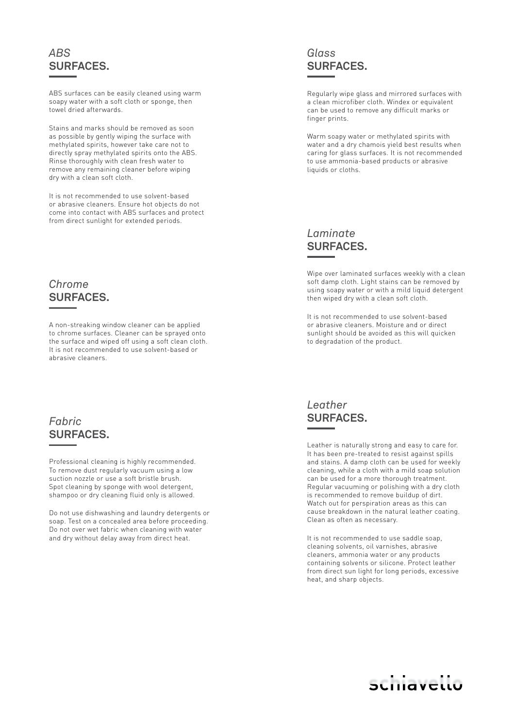## *ABS* **SURFACES.**

ABS surfaces can be easily cleaned using warm soapy water with a soft cloth or sponge, then towel dried afterwards.

Stains and marks should be removed as soon as possible by gently wiping the surface with methylated spirits, however take care not to directly spray methylated spirits onto the ABS. Rinse thoroughly with clean fresh water to remove any remaining cleaner before wiping dry with a clean soft cloth.

It is not recommended to use solvent-based or abrasive cleaners. Ensure hot objects do not come into contact with ABS surfaces and protect from direct sunlight for extended periods.

#### *Chrome* **SURFACES.**

A non-streaking window cleaner can be applied to chrome surfaces. Cleaner can be sprayed onto the surface and wiped off using a soft clean cloth. It is not recommended to use solvent-based or abrasive cleaners.

### *Fabric* **SURFACES.**

Professional cleaning is highly recommended. To remove dust regularly vacuum using a low suction nozzle or use a soft bristle brush. Spot cleaning by sponge with wool detergent, shampoo or dry cleaning fluid only is allowed.

Do not use dishwashing and laundry detergents or soap. Test on a concealed area before proceeding. Do not over wet fabric when cleaning with water and dry without delay away from direct heat.

## *Glass* **SURFACES.**

Regularly wipe glass and mirrored surfaces with a clean microfiber cloth. Windex or equivalent can be used to remove any difficult marks or finger prints.

Warm soapy water or methylated spirits with water and a dry chamois yield best results when caring for glass surfaces. It is not recommended to use ammonia-based products or abrasive liquids or cloths.

# *Laminate* **SURFACES.**

Wipe over laminated surfaces weekly with a clean soft damp cloth. Light stains can be removed by using soapy water or with a mild liquid detergent then wiped dry with a clean soft cloth.

It is not recommended to use solvent-based or abrasive cleaners. Moisture and or direct sunlight should be avoided as this will quicken to degradation of the product.

*Leather* **SURFACES.** 

Leather is naturally strong and easy to care for. It has been pre-treated to resist against spills and stains. A damp cloth can be used for weekly cleaning, while a cloth with a mild soap solution can be used for a more thorough treatment. Regular vacuuming or polishing with a dry cloth is recommended to remove buildup of dirt. Watch out for perspiration areas as this can cause breakdown in the natural leather coating. Clean as often as necessary.

It is not recommended to use saddle soap, cleaning solvents, oil varnishes, abrasive cleaners, ammonia water or any products containing solvents or silicone. Protect leather from direct sun light for long periods, excessive heat, and sharp objects.